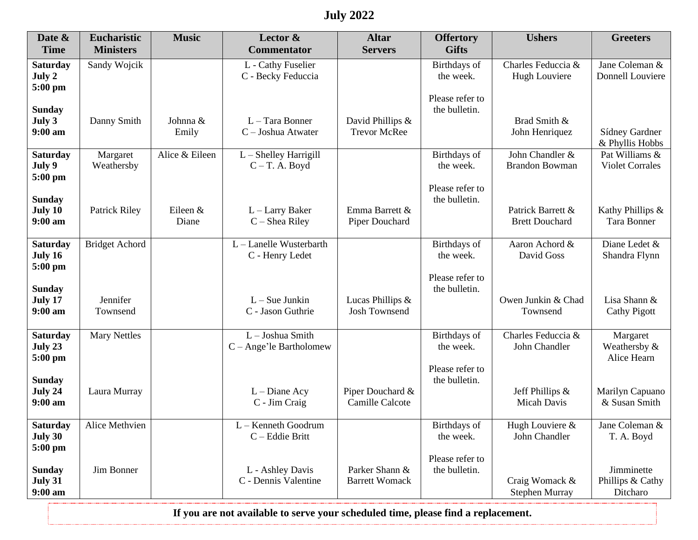## **July 2022**

| Date &<br><b>Time</b>      | <b>Eucharistic</b><br><b>Ministers</b> | <b>Music</b>   | Lector $\&$<br><b>Commentator</b>        | <b>Altar</b><br><b>Servers</b>           | <b>Offertory</b><br><b>Gifts</b> | <b>Ushers</b>                    | <b>Greeters</b>                     |
|----------------------------|----------------------------------------|----------------|------------------------------------------|------------------------------------------|----------------------------------|----------------------------------|-------------------------------------|
| <b>Saturday</b>            | Sandy Wojcik                           |                | L - Cathy Fuselier                       |                                          | Birthdays of                     | Charles Feduccia &               | Jane Coleman &                      |
| July 2                     |                                        |                | C - Becky Feduccia                       |                                          | the week.                        | Hugh Louviere                    | Donnell Louviere                    |
| 5:00 pm                    |                                        |                |                                          |                                          |                                  |                                  |                                     |
|                            |                                        |                |                                          |                                          | Please refer to                  |                                  |                                     |
| <b>Sunday</b><br>July 3    | Danny Smith                            | Johnna &       | L - Tara Bonner                          | David Phillips &                         | the bulletin.                    | Brad Smith &                     |                                     |
| $9:00 \text{ am}$          |                                        | Emily          | $C$ – Joshua Atwater                     | <b>Trevor McRee</b>                      |                                  | John Henriquez                   | Sídney Gardner                      |
|                            |                                        |                |                                          |                                          |                                  |                                  | & Phyllis Hobbs                     |
| <b>Saturday</b>            | Margaret                               | Alice & Eileen | $L$ – Shelley Harrigill                  |                                          | Birthdays of                     | John Chandler &                  | Pat Williams &                      |
| July 9                     | Weathersby                             |                | $C-T.$ A. Boyd                           |                                          | the week.                        | <b>Brandon Bowman</b>            | <b>Violet Corrales</b>              |
| 5:00 pm                    |                                        |                |                                          |                                          | Please refer to                  |                                  |                                     |
| <b>Sunday</b>              |                                        |                |                                          |                                          | the bulletin.                    |                                  |                                     |
| July 10                    | <b>Patrick Riley</b>                   | Eileen &       | $L$ – Larry Baker                        | Emma Barrett &                           |                                  | Patrick Barrett &                | Kathy Phillips &                    |
| $9:00$ am                  |                                        | Diane          | $C - Shea$ Riley                         | Piper Douchard                           |                                  | <b>Brett Douchard</b>            | Tara Bonner                         |
|                            |                                        |                | L - Lanelle Wusterbarth                  |                                          |                                  |                                  |                                     |
| <b>Saturday</b><br>July 16 | <b>Bridget Achord</b>                  |                | C - Henry Ledet                          |                                          | Birthdays of<br>the week.        | Aaron Achord &<br>David Goss     | Diane Ledet &<br>Shandra Flynn      |
| 5:00 pm                    |                                        |                |                                          |                                          |                                  |                                  |                                     |
|                            |                                        |                |                                          |                                          | Please refer to                  |                                  |                                     |
| <b>Sunday</b>              |                                        |                |                                          |                                          | the bulletin.                    |                                  |                                     |
| July 17<br>$9:00$ am       | Jennifer<br>Townsend                   |                | $L-Sue$ Junkin<br>C - Jason Guthrie      | Lucas Phillips &<br><b>Josh Townsend</b> |                                  | Owen Junkin & Chad<br>Townsend   | Lisa Shann &<br><b>Cathy Pigott</b> |
|                            |                                        |                |                                          |                                          |                                  |                                  |                                     |
| <b>Saturday</b>            | <b>Mary Nettles</b>                    |                | L - Joshua Smith                         |                                          | Birthdays of                     | Charles Feduccia &               | Margaret                            |
| July 23                    |                                        |                | $C - \text{Angle'}$ le Bartholomew       |                                          | the week.                        | John Chandler                    | Weathersby &                        |
| 5:00 pm                    |                                        |                |                                          |                                          |                                  |                                  | Alice Hearn                         |
| <b>Sunday</b>              |                                        |                |                                          |                                          | Please refer to<br>the bulletin. |                                  |                                     |
| July 24                    | Laura Murray                           |                | $L$ – Diane Acy                          | Piper Douchard &                         |                                  | Jeff Phillips &                  | Marilyn Capuano                     |
| $9:00$ am                  |                                        |                | C - Jim Craig                            | Camille Calcote                          |                                  | Micah Davis                      | & Susan Smith                       |
|                            |                                        |                |                                          |                                          |                                  |                                  |                                     |
| <b>Saturday</b><br>July 30 | Alice Methvien                         |                | $L -$ Kenneth Goodrum<br>C - Eddie Britt |                                          | Birthdays of<br>the week.        | Hugh Louviere &<br>John Chandler | Jane Coleman &<br>T. A. Boyd        |
| 5:00 pm                    |                                        |                |                                          |                                          |                                  |                                  |                                     |
|                            |                                        |                |                                          |                                          | Please refer to                  |                                  |                                     |
| <b>Sunday</b>              | Jim Bonner                             |                | L - Ashley Davis                         | Parker Shann &                           | the bulletin.                    |                                  | Jimminette                          |
| July 31                    |                                        |                | C - Dennis Valentine                     | <b>Barrett Womack</b>                    |                                  | Craig Womack &                   | Phillips & Cathy                    |
| $9:00$ am                  |                                        |                |                                          |                                          |                                  | <b>Stephen Murray</b>            | Ditcharo                            |

**If you are not available to serve your scheduled time, please find a replacement.**